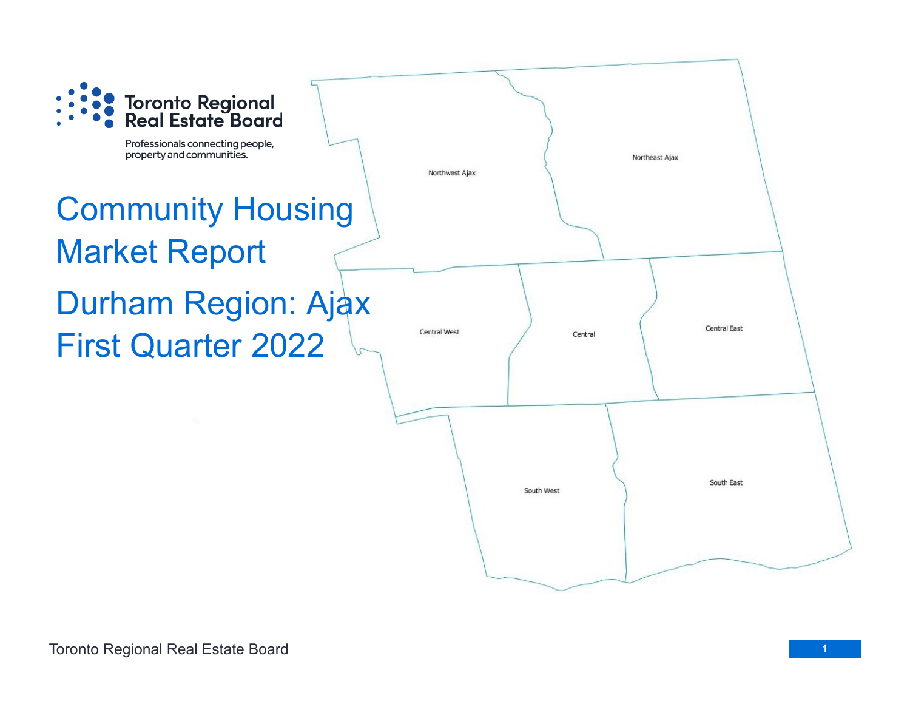

Professionals connecting people, property and communities.

# Community Housing Market Report Durham Region: Ajax First Quarter 2022

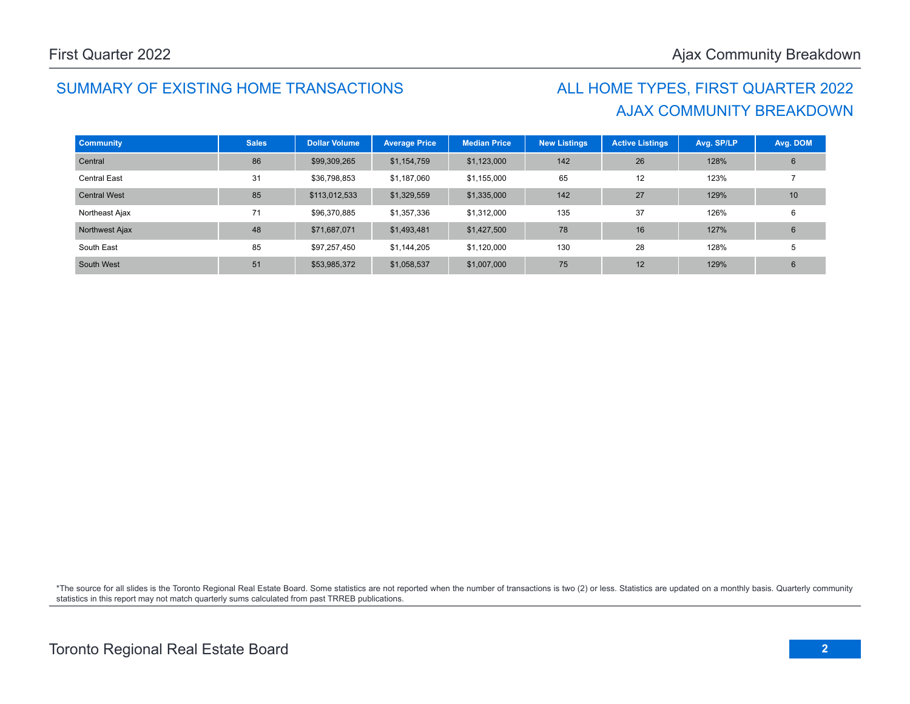### SUMMARY OF EXISTING HOME TRANSACTIONS ALL HOME TYPES, FIRST QUARTER 2022

## AJAX COMMUNITY BREAKDOWN

| <b>Community</b>    | <b>Sales</b> | <b>Dollar Volume</b> | <b>Average Price</b> | <b>Median Price</b> | <b>New Listings</b> | <b>Active Listings</b> | Avg. SP/LP | Avg. DOM |
|---------------------|--------------|----------------------|----------------------|---------------------|---------------------|------------------------|------------|----------|
| Central             | 86           | \$99,309,265         | \$1,154,759          | \$1,123,000         | 142                 | 26                     | 128%       | 6        |
| <b>Central East</b> | 31           | \$36,798,853         | \$1,187,060          | \$1,155,000         | 65                  | 12                     | 123%       |          |
| <b>Central West</b> | 85           | \$113,012,533        | \$1,329,559          | \$1,335,000         | 142                 | 27                     | 129%       | 10       |
| Northeast Ajax      | 71           | \$96,370,885         | \$1,357,336          | \$1.312,000         | 135                 | 37                     | 126%       | 6        |
| Northwest Ajax      | 48           | \$71,687,071         | \$1,493,481          | \$1,427,500         | 78                  | 16                     | 127%       | 6        |
| South East          | 85           | \$97,257,450         | \$1,144,205          | \$1,120,000         | 130                 | 28                     | 128%       | 5        |
| South West          | 51           | \$53,985,372         | \$1,058,537          | \$1,007,000         | 75                  | 12                     | 129%       | 6        |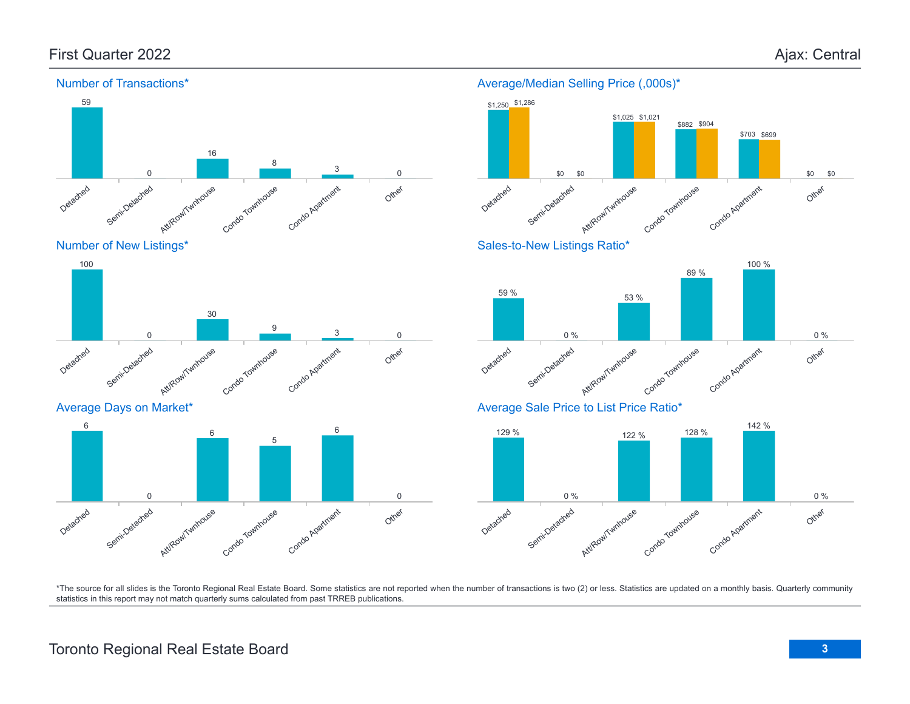

Detached Semi-Detached Att/Row/Twnhouse Condo Townhouse Condo Apartment Other 0 30  $\overline{Q}$  $3\qquad \qquad 0$ 

Average Days on Market\*



#### Average/Median Selling Price (,000s)\*



Sales-to-New Listings Ratio\*



Average Sale Price to List Price Ratio\*

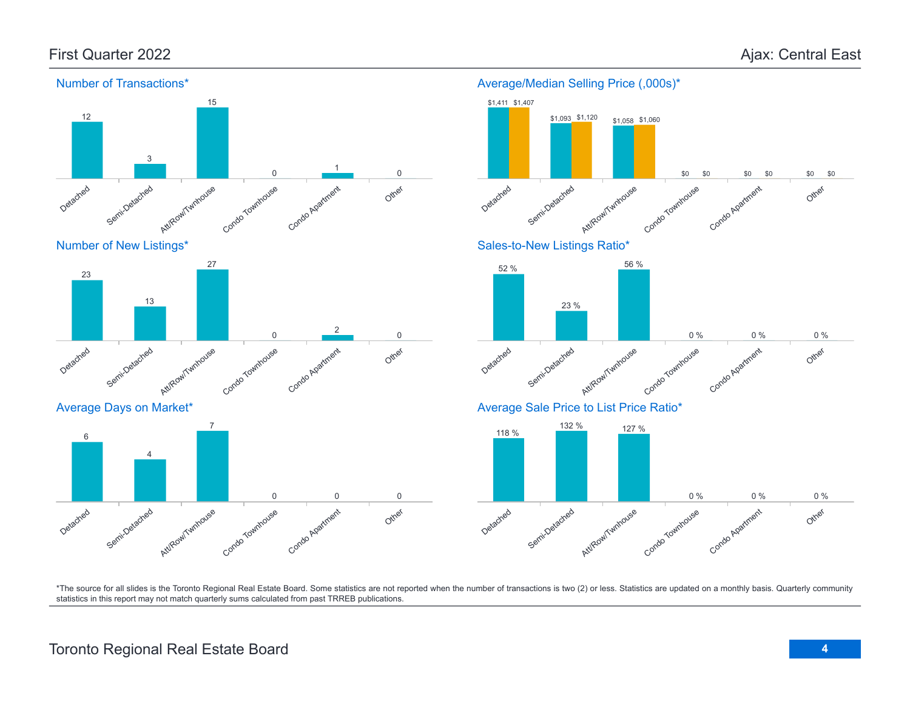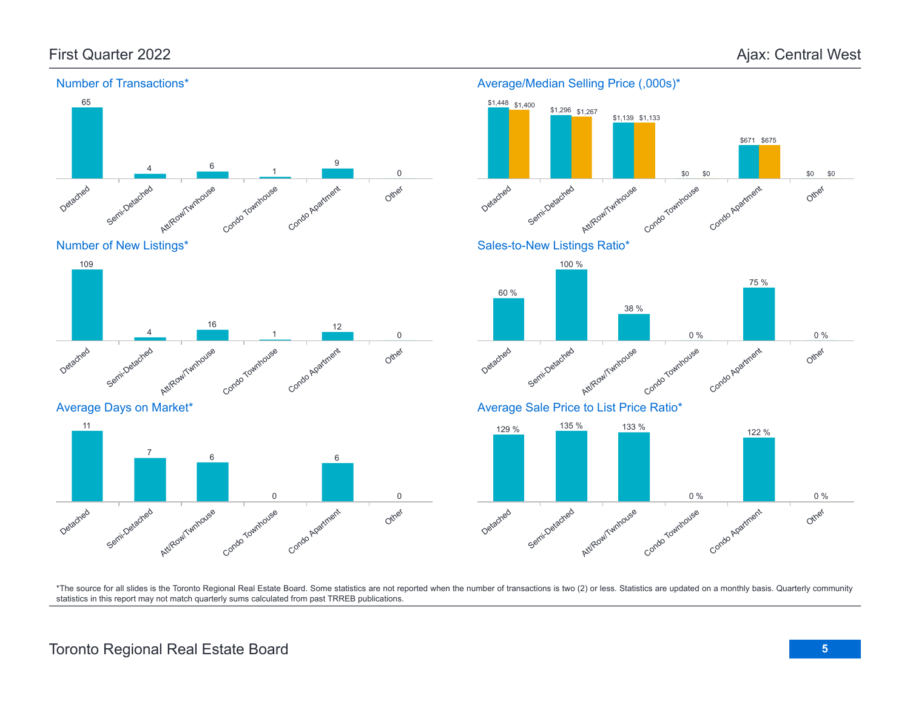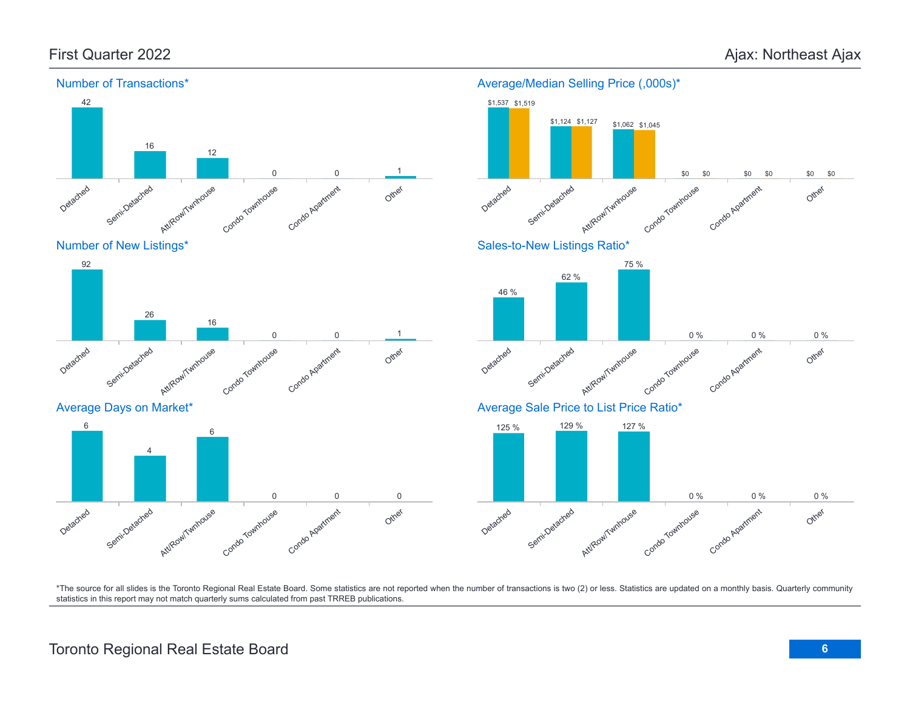

#### Average/Median Selling Price (,000s)\*

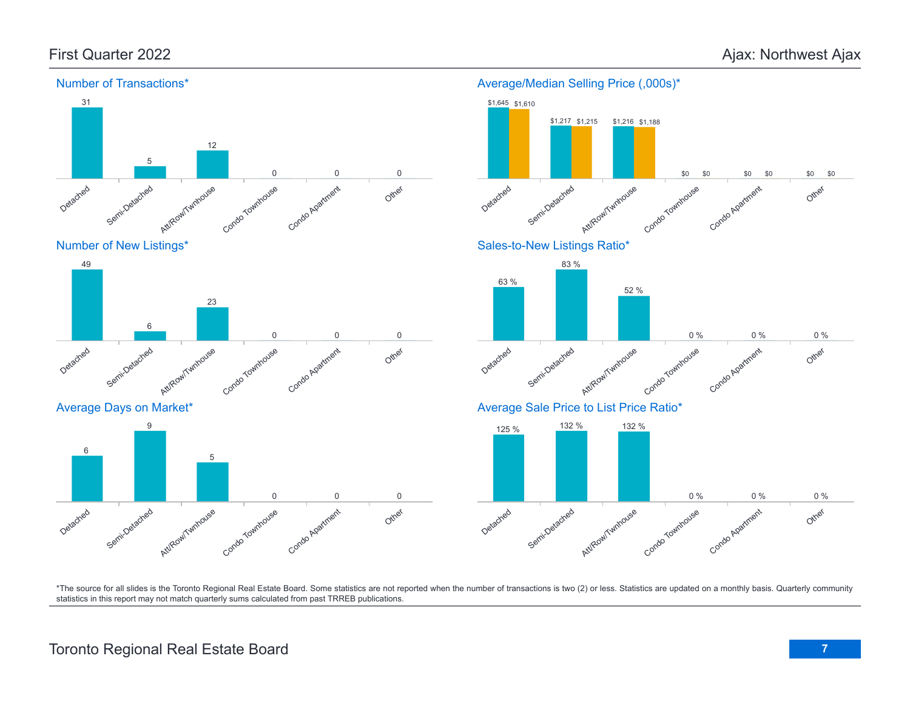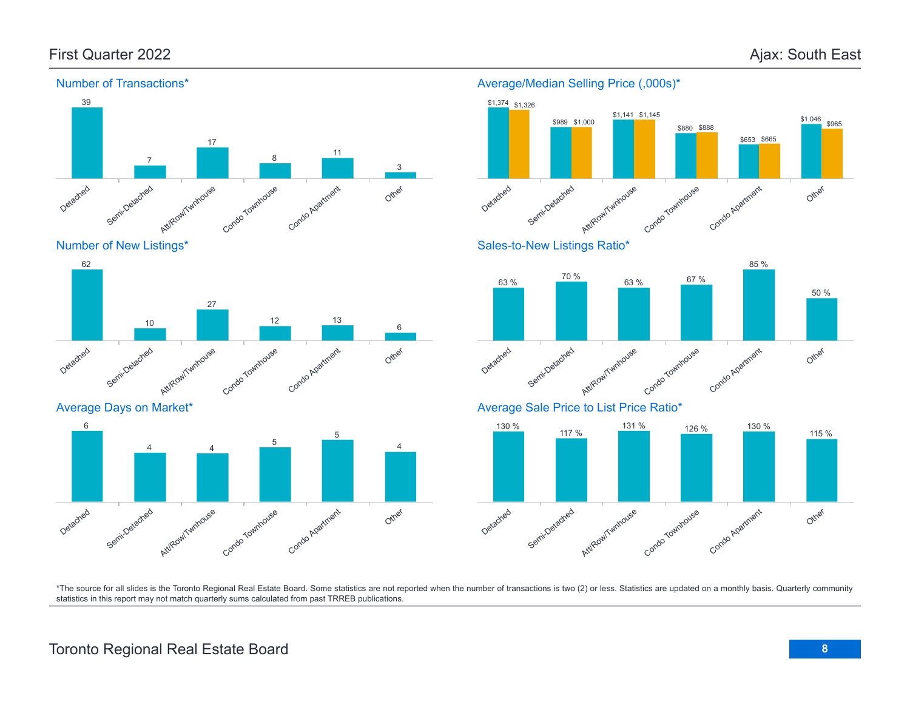

Number of New Listings\*





#### Average/Median Selling Price (,000s)\*